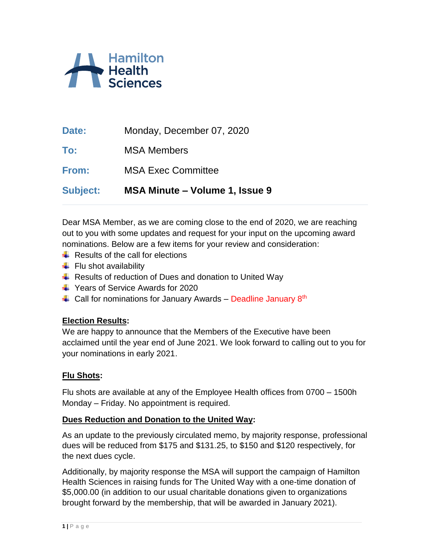

| Date: | Monday, December 07, 2020 |
|-------|---------------------------|
|       |                           |

**To:** MSA Members

**From:** MSA Exec Committee

**Subject: MSA Minute – Volume 1, Issue 9**

Dear MSA Member, as we are coming close to the end of 2020, we are reaching out to you with some updates and request for your input on the upcoming award nominations. Below are a few items for your review and consideration:

- $\leftarrow$  Results of the call for elections
- $\leftarrow$  Flu shot availability
- $\ddot{+}$  Results of reduction of Dues and donation to United Way
- $\overline{\phantom{1}}$  Years of Service Awards for 2020
- $\ddot{+}$  Call for nominations for January Awards Deadline January 8<sup>th</sup>

### **Election Results:**

We are happy to announce that the Members of the Executive have been acclaimed until the year end of June 2021. We look forward to calling out to you for your nominations in early 2021.

### **Flu Shots:**

Flu shots are available at any of the Employee Health offices from 0700 – 1500h Monday – Friday. No appointment is required.

#### **Dues Reduction and Donation to the United Way:**

As an update to the previously circulated memo, by majority response, professional dues will be reduced from \$175 and \$131.25, to \$150 and \$120 respectively, for the next dues cycle.

Additionally, by majority response the MSA will support the campaign of Hamilton Health Sciences in raising funds for The United Way with a one-time donation of \$5,000.00 (in addition to our usual charitable donations given to organizations brought forward by the membership, that will be awarded in January 2021).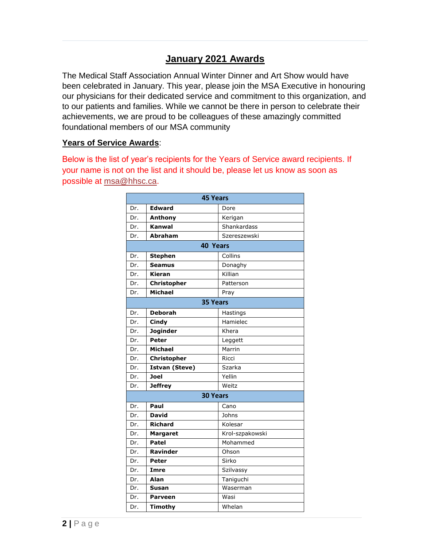# **January 2021 Awards**

The Medical Staff Association Annual Winter Dinner and Art Show would have been celebrated in January. This year, please join the MSA Executive in honouring our physicians for their dedicated service and commitment to this organization, and to our patients and families. While we cannot be there in person to celebrate their achievements, we are proud to be colleagues of these amazingly committed foundational members of our MSA community

#### **Years of Service Awards**:

Below is the list of year's recipients for the Years of Service award recipients. If your name is not on the list and it should be, please let us know as soon as possible at [msa@hhsc.ca.](mailto:msa@hhsc.ca)

| <b>45 Years</b> |                       |                 |  |
|-----------------|-----------------------|-----------------|--|
| Dr.             | <b>Edward</b>         | Dore            |  |
| Dr.             | Anthony               | Kerigan         |  |
| Dr.             | <b>Kanwal</b>         | Shankardass     |  |
| Dr.             | <b>Abraham</b>        | Szereszewski    |  |
| <b>40 Years</b> |                       |                 |  |
| Dr.             | <b>Stephen</b>        | Collins         |  |
| Dr.             | <b>Seamus</b>         | Donaghy         |  |
| Dr.             | Kieran                | Killian         |  |
| Dr.             | <b>Christopher</b>    | Patterson       |  |
| Dr.             | <b>Michael</b>        | Pray            |  |
| <b>35 Years</b> |                       |                 |  |
| Dr.             | <b>Deborah</b>        | Hastings        |  |
| Dr.             | Cindy                 | Hamielec        |  |
| Dr.             | <b>Joginder</b>       | Khera           |  |
| Dr.             | <b>Peter</b>          | Leggett         |  |
| Dr.             | <b>Michael</b>        | Marrin          |  |
| Dr.             | Christopher           | Ricci           |  |
| Dr.             | <b>Istvan (Steve)</b> | Szarka          |  |
| Dr.             | <b>Joel</b>           | Yellin          |  |
| Dr.             | <b>Jeffrey</b>        | Weitz           |  |
| <b>30 Years</b> |                       |                 |  |
| Dr.             | Paul                  | Cano            |  |
| Dr.             | <b>David</b>          | Johns           |  |
| Dr.             | <b>Richard</b>        | Kolesar         |  |
| Dr.             | <b>Margaret</b>       | Krol-szpakowski |  |
| Dr.             | <b>Patel</b>          | Mohammed        |  |
| Dr.             | <b>Ravinder</b>       | Ohson           |  |
| Dr.             | Peter                 | Sirko           |  |
| Dr.             | Imre                  | Szilvassy       |  |
| Dr.             | Alan                  | Taniguchi       |  |
| Dr.             | Susan                 | Waserman        |  |
| Dr.             | <b>Parveen</b>        | Wasi            |  |
| Dr.             | Timothy               | Whelan          |  |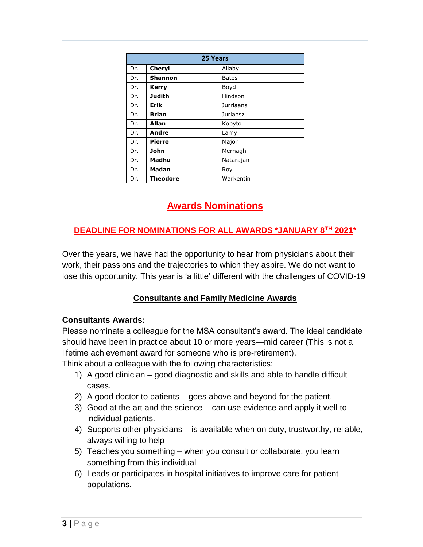| 25 Years |                 |                  |
|----------|-----------------|------------------|
| Dr.      | Cheryl          | Allaby           |
| Dr.      | Shannon         | Bates            |
| Dr.      | <b>Kerry</b>    | Boyd             |
| Dr.      | Judith          | Hindson          |
| Dr.      | Erik            | <b>Jurriaans</b> |
| Dr.      | <b>Brian</b>    | Juriansz         |
| Dr.      | Allan           | Kopyto           |
| Dr.      | Andre           | Lamy             |
| Dr.      | <b>Pierre</b>   | Major            |
| Dr.      | John            | Mernagh          |
| Dr.      | Madhu           | Natarajan        |
| Dr.      | Madan           | Roy              |
| Dr.      | <b>Theodore</b> | Warkentin        |

# **Awards Nominations**

## **DEADLINE FOR NOMINATIONS FOR ALL AWARDS \*JANUARY 8TH 2021\***

Over the years, we have had the opportunity to hear from physicians about their work, their passions and the trajectories to which they aspire. We do not want to lose this opportunity. This year is 'a little' different with the challenges of COVID-19

# **Consultants and Family Medicine Awards**

### **Consultants Awards:**

Please nominate a colleague for the MSA consultant's award. The ideal candidate should have been in practice about 10 or more years—mid career (This is not a lifetime achievement award for someone who is pre-retirement).

Think about a colleague with the following characteristics:

- 1) A good clinician good diagnostic and skills and able to handle difficult cases.
- 2) A good doctor to patients goes above and beyond for the patient.
- 3) Good at the art and the science can use evidence and apply it well to individual patients.
- 4) Supports other physicians is available when on duty, trustworthy, reliable, always willing to help
- 5) Teaches you something when you consult or collaborate, you learn something from this individual
- 6) Leads or participates in hospital initiatives to improve care for patient populations.